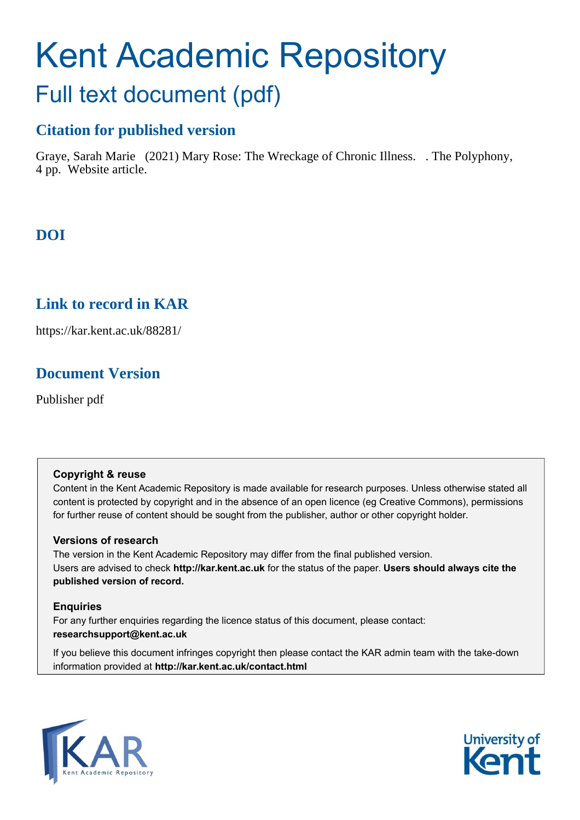# Kent Academic Repository Full text document (pdf)

## **Citation for published version**

Graye, Sarah Marie (2021) Mary Rose: The Wreckage of Chronic Illness. . The Polyphony, 4 pp. Website article.

## **DOI**

#### **Link to record in KAR**

https://kar.kent.ac.uk/88281/

## **Document Version**

Publisher pdf

#### **Copyright & reuse**

Content in the Kent Academic Repository is made available for research purposes. Unless otherwise stated all content is protected by copyright and in the absence of an open licence (eg Creative Commons), permissions for further reuse of content should be sought from the publisher, author or other copyright holder.

#### **Versions of research**

The version in the Kent Academic Repository may differ from the final published version. Users are advised to check **http://kar.kent.ac.uk** for the status of the paper. **Users should always cite the published version of record.**

#### **Enquiries**

For any further enquiries regarding the licence status of this document, please contact: **researchsupport@kent.ac.uk**

If you believe this document infringes copyright then please contact the KAR admin team with the take-down information provided at **http://kar.kent.ac.uk/contact.html**



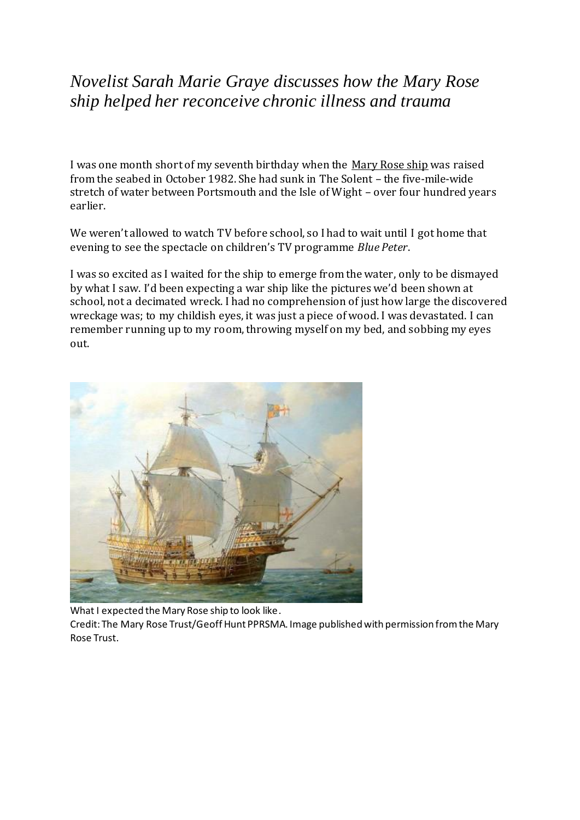## *Novelist Sarah Marie Graye discusses how the Mary Rose ship helped her reconceive chronic illness and trauma*

I was one month short of my seventh birthday when the [Mary Rose ship](https://maryrose.org/) was raised from the seabed in October 1982. She had sunk in The Solent – the five-mile-wide stretch of water between Portsmouth and the Isle of Wight – over four hundred years earlier.

We weren't allowed to watch TV before school, so I had to wait until I got home that evening to see the spectacle on children's TV programme *[Blue Peter](https://en.wikipedia.org/wiki/Blue_Peter)*.

I was so excited as I waited for the ship to emerge from the water, only to be dismayed by what I saw. I'd been expecting a war ship like the pictures we'd been shown at school, not a decimated wreck. I had no comprehension of just how large the discovered wreckage was; to my childish eyes, it was just a piece of wood. I was devastated. I can remember running up to my room, throwing myself on my bed, and sobbing my eyes out.



What I expected the Mary Rose ship to look like.

Credit: The Mary Rose Trust/Geoff Hunt PPRSMA. Image published with permission from the Mary Rose Trust.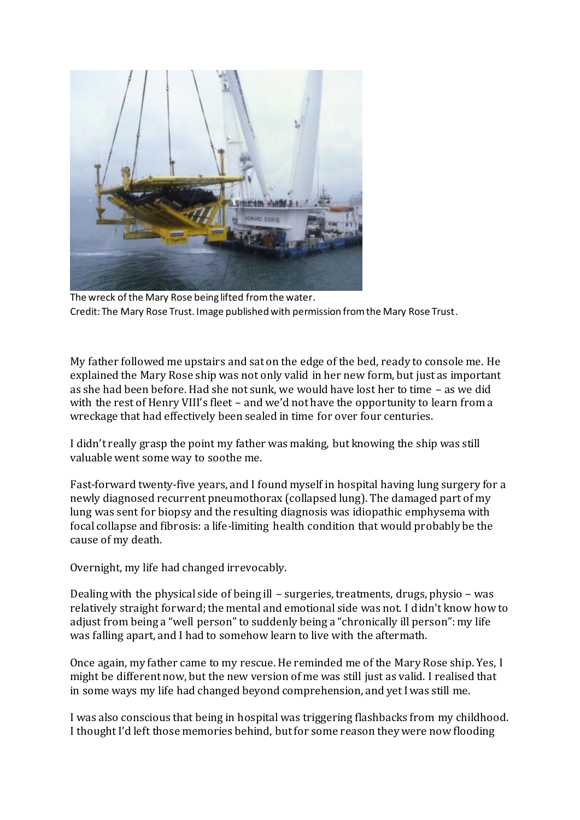

The wreck of the Mary Rose being lifted from the water. Credit: The Mary Rose Trust. Image published with permission from the Mary Rose Trust.

My father followed me upstairs and sat on the edge of the bed, ready to console me. He explained the Mary Rose ship was not only valid in her new form, but just as important as she had been before. Had she not sunk, we would have lost her to time – as we did with the rest of Henry VIII's fleet – and we'd not have the opportunity to learn from a wreckage that had effectively been sealed in time for over four centuries.

I didn't really grasp the point my father was making, but knowing the ship was still valuable went some way to soothe me.

Fast-forward twenty-five years, and I found myself in hospital having lung surgery for a newly diagnosed recurrent pneumothorax (collapsed lung). The damaged part of my lung was sent for biopsy and the resulting diagnosis was idiopathic emphysema with focal collapse and fibrosis: a life-limiting health condition that would probably be the cause of my death.

Overnight, my life had changed irrevocably.

Dealing with the physical side of being ill – surgeries, treatments, drugs, physio – was relatively straight forward; the mental and emotional side was not. I didn't know how to adjust from being a "well person" to suddenly being a "chronically ill person": my life was falling apart, and I had to somehow learn to live with the aftermath.

Once again, my father came to my rescue. He reminded me of the Mary Rose ship. Yes, I might be different now, but the new version of me was still just as valid. I realised that in some ways my life had changed beyond comprehension, and yet I was still me.

I was also conscious that being in hospital was triggering flashbacks from my childhood. I thought I'd left those memories behind, but for some reason they were now flooding